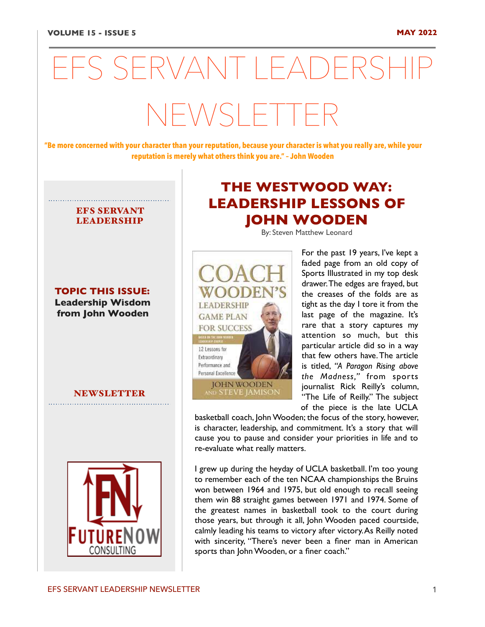# EFS SERVANT LEADERSHIP  $N$  $N$  $S$  $F$

**"Be more concerned with your character than your reputation, because your character is what you really are, while your reputation is merely what others think you are." – John Wooden** 

# EFS SERVANT LEADERSHIP

**TOPIC THIS ISSUE: Leadership Wisdom from John Wooden**

NEWSLETTER



# **THE WESTWOOD WAY: LEADERSHIP LESSONS OF JOHN WOODEN**

By: Steven Matthew Leonard



For the past 19 years, I've kept a faded page from an old copy of Sports Illustrated in my top desk drawer. The edges are frayed, but the creases of the folds are as tight as the day I tore it from the last page of the magazine. It's rare that a story captures my attention so much, but this particular article did so in a way that few others have. The article is titled, *["A Paragon Rising above](https://www.si.com/vault/2000/03/20/8115557/a-paragon-rising-above-the-madness%22%20%5Ct%20%22_blank) [the Madness](https://www.si.com/vault/2000/03/20/8115557/a-paragon-rising-above-the-madness%22%20%5Ct%20%22_blank),"* from sports journalist Rick Reilly's column, "The Life of Reilly." The subject of the piece is the late UCLA

basketball coach, John Wooden; the focus of the story, however, is character, leadership, and commitment. It's a story that will cause you to pause and consider your priorities in life and to re-evaluate what really matters.

I grew up during the heyday of UCLA basketball. I'm too young to remember each of the ten NCAA championships the Bruins won between 1964 and 1975, but old enough to recall seeing them win 88 straight games between 1971 and 1974. Some of the greatest names in basketball took to the court during those years, but through it all, John Wooden paced courtside, calmly leading his teams to victory after victory. As Reilly noted with sincerity, "There's never been a finer man in American sports than John Wooden, or a finer coach."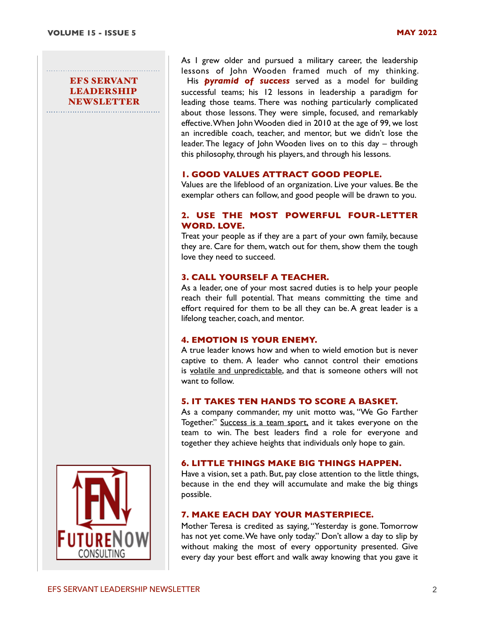As I grew older and pursued a military career, the leadership lessons of John Wooden framed much of my thinking. His *[pyramid of success](http://www.coachwooden.com/pyramid-of-success)* served as a model for building successful teams; his 12 lessons in leadership a paradigm for leading those teams. There was nothing particularly complicated about those lessons. They were simple, focused, and remarkably effective. When John Wooden died in 2010 at the age of 99, we lost an incredible coach, teacher, and mentor, but we didn't lose the leader. The legacy of John Wooden lives on to this day – through this philosophy, through his players, and through his lessons.

# **1. GOOD VALUES ATTRACT GOOD PEOPLE.**

Values are the lifeblood of an organization. Live your values. Be the exemplar others can follow, and good people will be drawn to you.

#### **2. USE THE MOST POWERFUL FOUR-LETTER WORD. LOVE.**

Treat your people as if they are a part of your own family, because they are. Care for them, watch out for them, show them the tough love they need to succeed.

#### **3. CALL YOURSELF A TEACHER.**

As a leader, one of your most sacred duties is to help your people reach their full potential. That means committing the time and effort required for them to be all they can be. A great leader is a lifelong teacher, coach, and mentor.

# **4. EMOTION IS YOUR ENEMY.**

A true leader knows how and when to wield emotion but is never captive to them. A leader who cannot control their emotions is [volatile and unpredictable](https://news.clearancejobs.com/2018/12/04/shades-of-gray-defining-the-spectrum-of-toxic-leadership/), and that is someone others will not want to follow.

# **5. IT TAKES TEN HANDS TO SCORE A BASKET.**

As a company commander, my unit motto was, "We Go Farther Together." [Success is a team sport,](https://news.clearancejobs.com/2019/08/06/managing-mediocrity-the-true-challenge-of-talent-management/) and it takes everyone on the team to win. The best leaders find a role for everyone and together they achieve heights that individuals only hope to gain.

#### **6. LITTLE THINGS MAKE BIG THINGS HAPPEN.**

Have a vision, set a path. But, pay close attention to the little things, because in the end they will accumulate and make the big things possible.

#### **7. MAKE EACH DAY YOUR MASTERPIECE.**

Mother Teresa is credited as saying, "Yesterday is gone. Tomorrow has not yet come. We have only today." Don't allow a day to slip by without making the most of every opportunity presented. Give every day your best effort and walk away knowing that you gave it

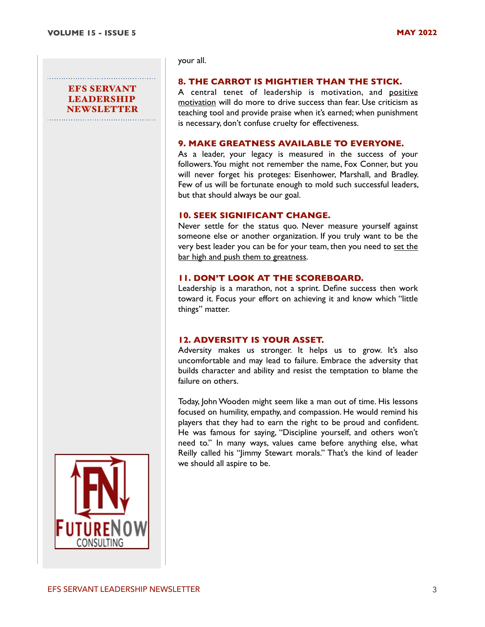your all.

#### **8. THE CARROT IS MIGHTIER THAN THE STICK.**

A central tenet of leadership is motivation, and [positive](https://news.clearancejobs.com/2019/04/15/8-forces-that-undermine-your-motivation/)  [motivation](https://news.clearancejobs.com/2019/04/15/8-forces-that-undermine-your-motivation/) will do more to drive success than fear. Use criticism as teaching tool and provide praise when it's earned; when punishment is necessary, don't confuse cruelty for effectiveness.

#### **9. MAKE GREATNESS AVAILABLE TO EVERYONE.**

As a leader, your legacy is measured in the success of your followers. You might not remember the name, Fox Conner, but you will never forget his proteges: Eisenhower, Marshall, and Bradley. Few of us will be fortunate enough to mold such successful leaders, but that should always be our goal.

#### **10. SEEK SIGNIFICANT CHANGE.**

Never settle for the status quo. Never measure yourself against someone else or another organization. If you truly want to be the very best leader you can be for your team, then you need to set the [bar high and push them to greatness.](https://news.clearancejobs.com/2019/09/10/whats-the-big-idea-everyone-wants-one-few-know-how-to-define-it/)

#### **11. DON'T LOOK AT THE SCOREBOARD.**

Leadership is a marathon, not a sprint. Define success then work toward it. Focus your effort on achieving it and know which "little things" matter.

#### **12. ADVERSITY IS YOUR ASSET.**

Adversity makes us stronger. It helps us to grow. It's also uncomfortable and may lead to failure. Embrace the adversity that builds character and ability and resist the temptation to blame the failure on others.

Today, John Wooden might seem like a man out of time. His lessons focused on humility, empathy, and compassion. He would remind his players that they had to earn the right to be proud and confident. He was famous for saying, "Discipline yourself, and others won't need to." In many ways, values came before anything else, what Reilly called his "Jimmy Stewart morals." That's the kind of leader we should all aspire to be.

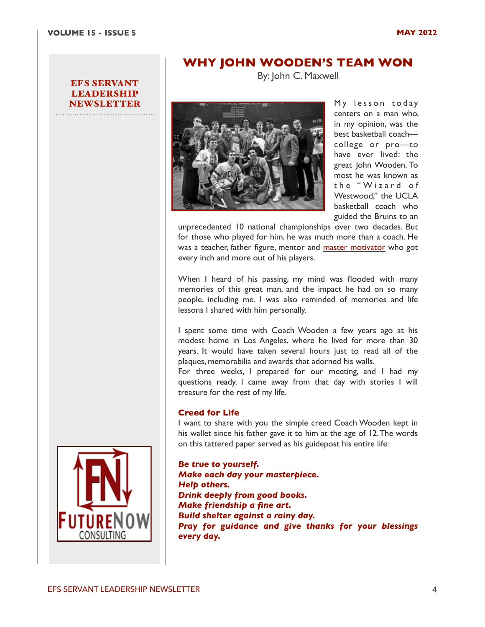# **WHY JOHN WOODEN'S TEAM WON**

By: John C. Maxwell



My lesson today centers on a man who, in my opinion, was the best basketball coach college or pro—to have ever lived: the great John Wooden. To most he was known as the "Wizard of Westwood," the UCLA basketball coach who guided the Bruins to an

unprecedented 10 national championships over two decades. But for those who played for him, he was much more than a coach. He was a teacher, father figure, mentor and [master motivator](https://www.success.com/videos/youtube/ask-yourself-these-3-questions-to-get-motivated) who got every inch and more out of his players.

When I heard of his passing, my mind was flooded with many memories of this great man, and the impact he had on so many people, including me. I was also reminded of memories and life lessons I shared with him personally.

I spent some time with Coach Wooden a few years ago at his modest home in Los Angeles, where he lived for more than 30 years. It would have taken several hours just to read all of the plaques, memorabilia and awards that adorned his walls.

For three weeks, I prepared for our meeting, and I had my questions ready. I came away from that day with stories I will treasure for the rest of my life.

#### **Creed for Life**

I want to share with you the simple creed Coach Wooden kept in his wallet since his father gave it to him at the age of 12. The words on this tattered paper served as his guidepost his entire life:

*[Be true to yourself.](https://www.thewoodeneffect.com/john-woodens-7-point-creed-true/) Make each day your masterpiece. [Help others.](https://www.thewoodeneffect.com/value-of-friendship/%22%20%5Ct%20%22_blank) Drink deeply from good books. [Make friendship a fine art.](https://www.thewoodeneffect.com/value-of-friendship/%22%20%5Ct%20%22_blank) Build shelter against a rainy day. Pray for guidance and give thanks for your blessings every day.*

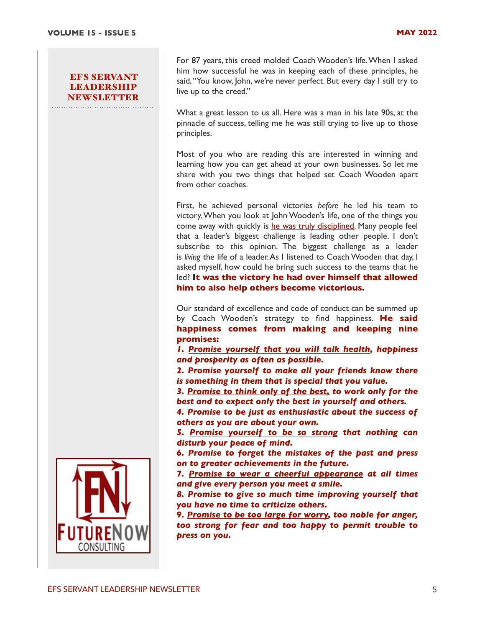For 87 years, this creed molded Coach Wooden's life. When I asked him how successful he was in keeping each of these principles, he said, "You know, John, we're never perfect. But every day I still try to live up to the creed."

What a great lesson to us all. Here was a man in his late 90s, at the pinnacle of success, telling me he was still trying to live up to those principles.

Most of you who are reading this are interested in winning and learning how you can get ahead at your own businesses. So let me share with you two things that helped set Coach Wooden apart from other coaches.

First, he achieved personal victories *before* he led his team to victory. When you look at John Wooden's life, one of the things you come away with quickly is [he was truly disciplined.](https://www.success.com/article/rohn-the-key-to-getting-all-you-want-discipline) Many people feel that a leader's biggest challenge is leading other people. I don't subscribe to this opinion. The biggest challenge as a leader is *living* the life of a leader. As I listened to Coach Wooden that day, I asked myself, how could he bring such success to the teams that he led? **It was the victory he had over himself that allowed him to also help others become victorious.**

Our standard of excellence and code of conduct can be summed up by Coach Wooden's strategy to find happiness. **He said happiness comes from making and keeping nine promises:**

*1. [Promise yourself that you will talk health,](https://www.success.com/article/top-of-mind-6-ways-to-keep-your-mind-and-body-fresh) happiness and prosperity as often as possible.*

*2. Promise yourself to make all your friends know there is something in them that is special that you value.*

*3. [Promise to think only of the best,](https://www.success.com/article/4-ways-to-be-more-positive) to work only for the best and to expect only the best in yourself and others.*

*4. Promise to be just as enthusiastic about the success of others as you are about your own.*

*5. [Promise yourself to be so strong](https://www.success.com/article/21-motivational-quotes-about-strength) that nothing can disturb your peace of mind.*

*6. Promise to forget the mistakes of the past and press on to greater achievements in the future.*

*7. [Promise to wear a cheerful appearance](https://www.success.com/article/6-ways-to-unlock-your-charisma) at all times and give every person you meet a smile.*

*8. Promise to give so much time improving yourself that you have no time to criticize others.*

*9. [Promise to be too large for worry,](https://www.success.com/article/9-tips-to-stop-worrying) too noble for anger, too strong for fear and too happy to permit trouble to press on you.*

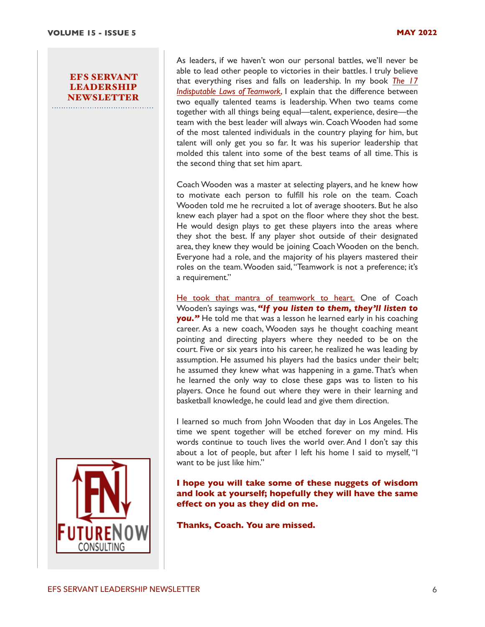As leaders, if we haven't won our personal battles, we'll never be able to lead other people to victories in their battles. I truly believe that everything rises and falls on leadership. In my book *[The 17](https://www.amazon.com/gp/product/0785265767/ref=as_li_ss_tl?ie=UTF8&tag=sm0fe-20&linkCode=as2&camp=217145&creative=399369&creativeASIN=0785265767%22%20%5Ct%20%22_blank)  [Indisputable Laws of Teamwork](https://www.amazon.com/gp/product/0785265767/ref=as_li_ss_tl?ie=UTF8&tag=sm0fe-20&linkCode=as2&camp=217145&creative=399369&creativeASIN=0785265767%22%20%5Ct%20%22_blank)*, I explain that the difference between two equally talented teams is leadership. When two teams come together with all things being equal—talent, experience, desire—the team with the best leader will always win. Coach Wooden had some of the most talented individuals in the country playing for him, but talent will only get you so far. It was his superior leadership that molded this talent into some of the best teams of all time. This is the second thing that set him apart.

Coach Wooden was a master at selecting players, and he knew how to motivate each person to fulfill his role on the team. Coach Wooden told me he recruited a lot of average shooters. But he also knew each player had a spot on the floor where they shot the best. He would design plays to get these players into the areas where they shot the best. If any player shot outside of their designated area, they knew they would be joining Coach Wooden on the bench. Everyone had a role, and the majority of his players mastered their roles on the team. Wooden said, "Teamwork is not a preference; it's a requirement."

[He took that mantra of teamwork to heart.](https://www.success.com/podcast/ep-23-the-secrets-of-great-teamwork) One of Coach Wooden's sayings was, *"If you listen to them, they'll listen to*  **you.**" He told me that was a lesson he learned early in his coaching career. As a new coach, Wooden says he thought coaching meant pointing and directing players where they needed to be on the court. Five or six years into his career, he realized he was leading by assumption. He assumed his players had the basics under their belt; he assumed they knew what was happening in a game. That's when he learned the only way to close these gaps was to listen to his players. Once he found out where they were in their learning and basketball knowledge, he could lead and give them direction.

I learned so much from John Wooden that day in Los Angeles. The time we spent together will be etched forever on my mind. His words continue to touch lives the world over. And I don't say this about a lot of people, but after I left his home I said to myself, "I want to be just like him."

**I hope you will take some of these nuggets of wisdom and look at yourself; hopefully they will have the same effect on you as they did on me.**

**Thanks, Coach. You are missed.**

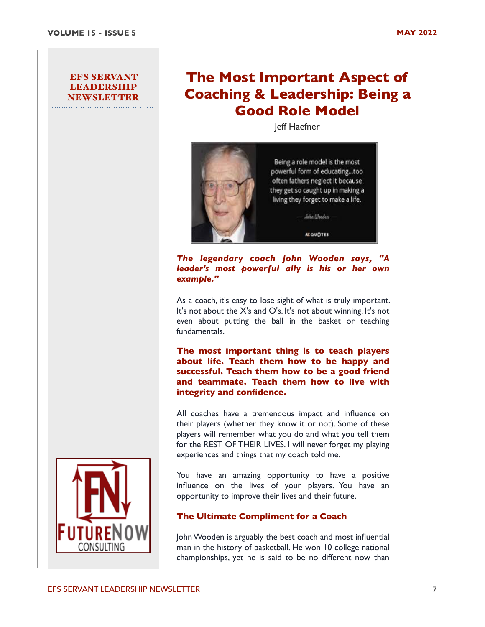# **The Most Important Aspect of Coaching & Leadership: Being a Good Role Model**

Jeff Haefner



*The legendary coach John Wooden says, "A leader's most powerful ally is his or her own example."*

As a coach, it's easy to lose sight of what is truly important. It's not about the X's and O's. It's not about winning. It's not even about putting the ball in the basket or teaching fundamentals.

**The most important thing is to teach players about life. Teach them how to be happy and successful. Teach them how to be a good friend and teammate. Teach them how to live with integrity and confidence.**

All coaches have a tremendous impact and influence on their players (whether they know it or not). Some of these players will remember what you do and what you tell them for the REST OF THEIR LIVES. I will never forget my playing experiences and things that my coach told me.

You have an amazing opportunity to have a positive influence on the lives of your players. You have an opportunity to improve their lives and their future.

# **The Ultimate Compliment for a Coach**

John Wooden is arguably the best coach and most influential man in the history of basketball. He won 10 college national championships, yet he is said to be no different now than

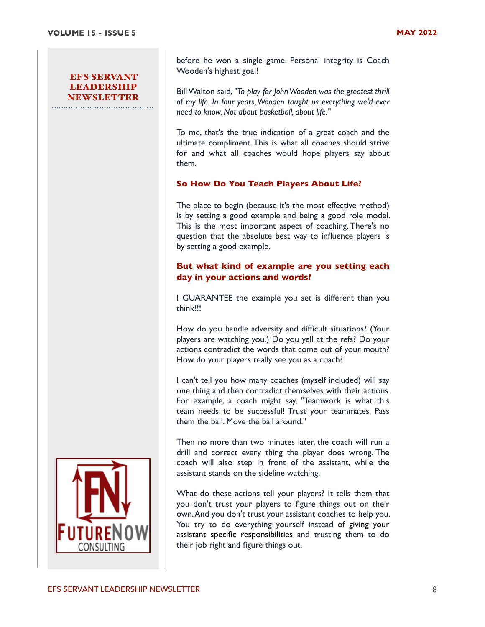before he won a single game. Personal integrity is Coach Wooden's highest goal!

Bill Walton said, *"To play for John Wooden was the greatest thrill of my life. In four years, Wooden taught us everything we'd ever need to know. Not about basketball, about life."*

To me, that's the true indication of a great coach and the ultimate compliment. This is what all coaches should strive for and what all coaches would hope players say about them.

#### **So How Do You Teach Players About Life?**

The place to begin (because it's the most effective method) is by setting a good example and being a good role model. This is the most important aspect of coaching. There's no question that the absolute best way to influence players is by setting a good example.

# **But what kind of example are you setting each day in your actions and words?**

I GUARANTEE the example you set is different than you think!!!

How do you handle adversity and difficult situations? (Your players are watching you.) Do you yell at the refs? Do your actions contradict the words that come out of your mouth? How do your players really see you as a coach?

I can't tell you how many coaches (myself included) will say one thing and then contradict themselves with their actions. For example, a coach might say, "Teamwork is what this team needs to be successful! Trust your teammates. Pass them the ball. Move the ball around."

Then no more than two minutes later, the coach will run a drill and correct every thing the player does wrong. The coach will also step in front of the assistant, while the assistant stands on the sideline watching.

What do these actions tell your players? It tells them that you don't trust your players to figure things out on their own. And you don't trust your assistant coaches to help you. You try to do everything yourself instead of [giving your](https://www.breakthroughbasketball.com/coaching/assistant-bounds.html)  [assistant specific responsibilities](https://www.breakthroughbasketball.com/coaching/assistant-bounds.html) and trusting them to do their job right and figure things out.